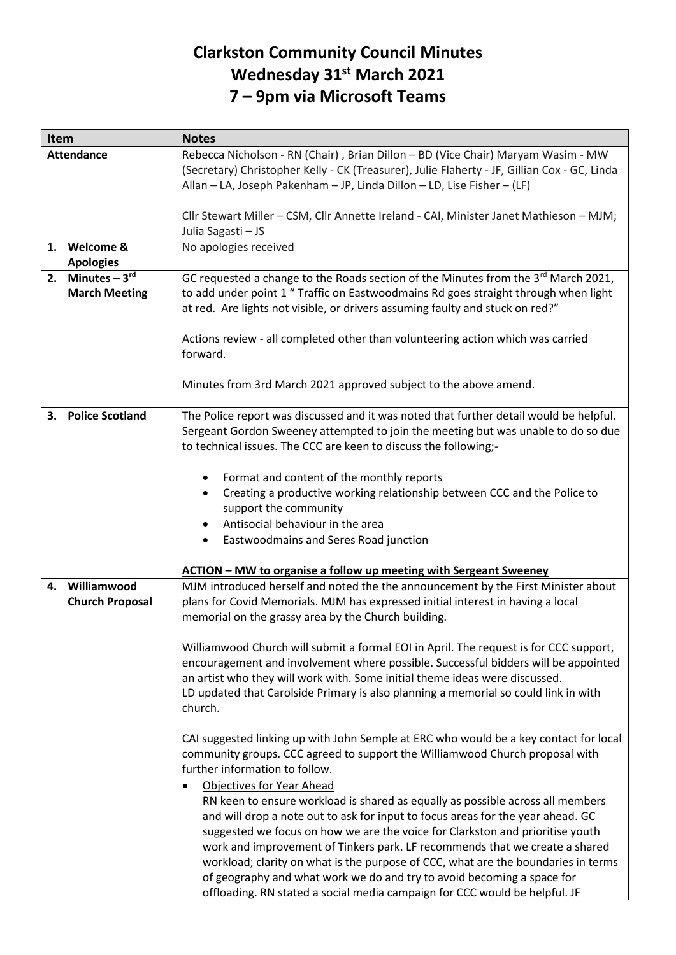## **Clarkston Community Council Minutes Wednesday 31st March 2021 7 – 9pm via Microsoft Teams**

| <b>Notes</b>                                                                                                                                                                                                                                                                                                                                                 |
|--------------------------------------------------------------------------------------------------------------------------------------------------------------------------------------------------------------------------------------------------------------------------------------------------------------------------------------------------------------|
| Rebecca Nicholson - RN (Chair), Brian Dillon - BD (Vice Chair) Maryam Wasim - MW<br>(Secretary) Christopher Kelly - CK (Treasurer), Julie Flaherty - JF, Gillian Cox - GC, Linda                                                                                                                                                                             |
| Allan - LA, Joseph Pakenham - JP, Linda Dillon - LD, Lise Fisher - (LF)                                                                                                                                                                                                                                                                                      |
| Cllr Stewart Miller - CSM, Cllr Annette Ireland - CAI, Minister Janet Mathieson - MJM;<br>Julia Sagasti - JS                                                                                                                                                                                                                                                 |
| No apologies received                                                                                                                                                                                                                                                                                                                                        |
|                                                                                                                                                                                                                                                                                                                                                              |
| GC requested a change to the Roads section of the Minutes from the $3^{rd}$ March 2021,                                                                                                                                                                                                                                                                      |
| to add under point 1 " Traffic on Eastwoodmains Rd goes straight through when light<br>at red. Are lights not visible, or drivers assuming faulty and stuck on red?"                                                                                                                                                                                         |
| Actions review - all completed other than volunteering action which was carried<br>forward.                                                                                                                                                                                                                                                                  |
| Minutes from 3rd March 2021 approved subject to the above amend.                                                                                                                                                                                                                                                                                             |
| The Police report was discussed and it was noted that further detail would be helpful.                                                                                                                                                                                                                                                                       |
| Sergeant Gordon Sweeney attempted to join the meeting but was unable to do so due                                                                                                                                                                                                                                                                            |
| to technical issues. The CCC are keen to discuss the following;-                                                                                                                                                                                                                                                                                             |
|                                                                                                                                                                                                                                                                                                                                                              |
| Format and content of the monthly reports                                                                                                                                                                                                                                                                                                                    |
| Creating a productive working relationship between CCC and the Police to                                                                                                                                                                                                                                                                                     |
| support the community                                                                                                                                                                                                                                                                                                                                        |
| Antisocial behaviour in the area                                                                                                                                                                                                                                                                                                                             |
| Eastwoodmains and Seres Road junction                                                                                                                                                                                                                                                                                                                        |
|                                                                                                                                                                                                                                                                                                                                                              |
| <b>ACTION - MW to organise a follow up meeting with Sergeant Sweeney</b>                                                                                                                                                                                                                                                                                     |
| MJM introduced herself and noted the the announcement by the First Minister about                                                                                                                                                                                                                                                                            |
| plans for Covid Memorials. MJM has expressed initial interest in having a local                                                                                                                                                                                                                                                                              |
| memorial on the grassy area by the Church building.                                                                                                                                                                                                                                                                                                          |
| Williamwood Church will submit a formal EOI in April. The request is for CCC support,<br>encouragement and involvement where possible. Successful bidders will be appointed<br>an artist who they will work with. Some initial theme ideas were discussed.<br>LD updated that Carolside Primary is also planning a memorial so could link in with<br>church. |
| CAI suggested linking up with John Semple at ERC who would be a key contact for local<br>community groups. CCC agreed to support the Williamwood Church proposal with<br>further information to follow.                                                                                                                                                      |
| <b>Objectives for Year Ahead</b>                                                                                                                                                                                                                                                                                                                             |
| RN keen to ensure workload is shared as equally as possible across all members                                                                                                                                                                                                                                                                               |
| and will drop a note out to ask for input to focus areas for the year ahead. GC                                                                                                                                                                                                                                                                              |
| suggested we focus on how we are the voice for Clarkston and prioritise youth                                                                                                                                                                                                                                                                                |
| work and improvement of Tinkers park. LF recommends that we create a shared                                                                                                                                                                                                                                                                                  |
| workload; clarity on what is the purpose of CCC, what are the boundaries in terms                                                                                                                                                                                                                                                                            |
| of geography and what work we do and try to avoid becoming a space for<br>offloading. RN stated a social media campaign for CCC would be helpful. JF                                                                                                                                                                                                         |
|                                                                                                                                                                                                                                                                                                                                                              |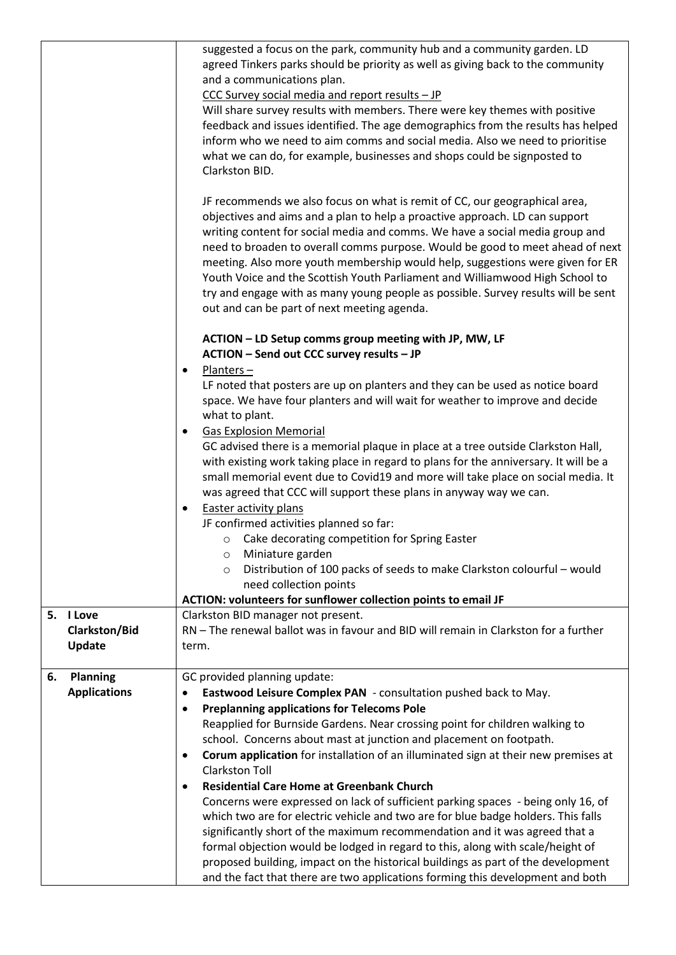|                                       | suggested a focus on the park, community hub and a community garden. LD<br>agreed Tinkers parks should be priority as well as giving back to the community<br>and a communications plan.<br>CCC Survey social media and report results - JP<br>Will share survey results with members. There were key themes with positive<br>feedback and issues identified. The age demographics from the results has helped<br>inform who we need to aim comms and social media. Also we need to prioritise<br>what we can do, for example, businesses and shops could be signposted to<br>Clarkston BID.<br>JF recommends we also focus on what is remit of CC, our geographical area,<br>objectives and aims and a plan to help a proactive approach. LD can support<br>writing content for social media and comms. We have a social media group and<br>need to broaden to overall comms purpose. Would be good to meet ahead of next<br>meeting. Also more youth membership would help, suggestions were given for ER<br>Youth Voice and the Scottish Youth Parliament and Williamwood High School to<br>try and engage with as many young people as possible. Survey results will be sent<br>out and can be part of next meeting agenda.<br>ACTION - LD Setup comms group meeting with JP, MW, LF<br>ACTION - Send out CCC survey results - JP<br>Planters-<br>٠<br>LF noted that posters are up on planters and they can be used as notice board<br>space. We have four planters and will wait for weather to improve and decide<br>what to plant.<br><b>Gas Explosion Memorial</b><br>$\bullet$<br>GC advised there is a memorial plaque in place at a tree outside Clarkston Hall,<br>with existing work taking place in regard to plans for the anniversary. It will be a<br>small memorial event due to Covid19 and more will take place on social media. It<br>was agreed that CCC will support these plans in anyway way we can.<br>Easter activity plans<br>JF confirmed activities planned so far:<br>Cake decorating competition for Spring Easter<br>$\circ$<br>Miniature garden<br>$\circ$<br>Distribution of 100 packs of seeds to make Clarkston colourful - would<br>$\circ$<br>need collection points |
|---------------------------------------|--------------------------------------------------------------------------------------------------------------------------------------------------------------------------------------------------------------------------------------------------------------------------------------------------------------------------------------------------------------------------------------------------------------------------------------------------------------------------------------------------------------------------------------------------------------------------------------------------------------------------------------------------------------------------------------------------------------------------------------------------------------------------------------------------------------------------------------------------------------------------------------------------------------------------------------------------------------------------------------------------------------------------------------------------------------------------------------------------------------------------------------------------------------------------------------------------------------------------------------------------------------------------------------------------------------------------------------------------------------------------------------------------------------------------------------------------------------------------------------------------------------------------------------------------------------------------------------------------------------------------------------------------------------------------------------------------------------------------------------------------------------------------------------------------------------------------------------------------------------------------------------------------------------------------------------------------------------------------------------------------------------------------------------------------------------------------------------------------------------------------------------------------------------------------------------------------------------|
| 5. I Love                             | ACTION: volunteers for sunflower collection points to email JF<br>Clarkston BID manager not present.                                                                                                                                                                                                                                                                                                                                                                                                                                                                                                                                                                                                                                                                                                                                                                                                                                                                                                                                                                                                                                                                                                                                                                                                                                                                                                                                                                                                                                                                                                                                                                                                                                                                                                                                                                                                                                                                                                                                                                                                                                                                                                         |
| <b>Clarkston/Bid</b><br><b>Update</b> | RN - The renewal ballot was in favour and BID will remain in Clarkston for a further<br>term.                                                                                                                                                                                                                                                                                                                                                                                                                                                                                                                                                                                                                                                                                                                                                                                                                                                                                                                                                                                                                                                                                                                                                                                                                                                                                                                                                                                                                                                                                                                                                                                                                                                                                                                                                                                                                                                                                                                                                                                                                                                                                                                |
| <b>Planning</b><br>6.                 | GC provided planning update:                                                                                                                                                                                                                                                                                                                                                                                                                                                                                                                                                                                                                                                                                                                                                                                                                                                                                                                                                                                                                                                                                                                                                                                                                                                                                                                                                                                                                                                                                                                                                                                                                                                                                                                                                                                                                                                                                                                                                                                                                                                                                                                                                                                 |
| <b>Applications</b>                   | Eastwood Leisure Complex PAN - consultation pushed back to May.                                                                                                                                                                                                                                                                                                                                                                                                                                                                                                                                                                                                                                                                                                                                                                                                                                                                                                                                                                                                                                                                                                                                                                                                                                                                                                                                                                                                                                                                                                                                                                                                                                                                                                                                                                                                                                                                                                                                                                                                                                                                                                                                              |
|                                       | <b>Preplanning applications for Telecoms Pole</b><br>$\bullet$<br>Reapplied for Burnside Gardens. Near crossing point for children walking to                                                                                                                                                                                                                                                                                                                                                                                                                                                                                                                                                                                                                                                                                                                                                                                                                                                                                                                                                                                                                                                                                                                                                                                                                                                                                                                                                                                                                                                                                                                                                                                                                                                                                                                                                                                                                                                                                                                                                                                                                                                                |
|                                       | school. Concerns about mast at junction and placement on footpath.                                                                                                                                                                                                                                                                                                                                                                                                                                                                                                                                                                                                                                                                                                                                                                                                                                                                                                                                                                                                                                                                                                                                                                                                                                                                                                                                                                                                                                                                                                                                                                                                                                                                                                                                                                                                                                                                                                                                                                                                                                                                                                                                           |
|                                       | Corum application for installation of an illuminated sign at their new premises at<br>٠<br><b>Clarkston Toll</b>                                                                                                                                                                                                                                                                                                                                                                                                                                                                                                                                                                                                                                                                                                                                                                                                                                                                                                                                                                                                                                                                                                                                                                                                                                                                                                                                                                                                                                                                                                                                                                                                                                                                                                                                                                                                                                                                                                                                                                                                                                                                                             |
|                                       | <b>Residential Care Home at Greenbank Church</b><br>$\bullet$                                                                                                                                                                                                                                                                                                                                                                                                                                                                                                                                                                                                                                                                                                                                                                                                                                                                                                                                                                                                                                                                                                                                                                                                                                                                                                                                                                                                                                                                                                                                                                                                                                                                                                                                                                                                                                                                                                                                                                                                                                                                                                                                                |
|                                       | Concerns were expressed on lack of sufficient parking spaces - being only 16, of                                                                                                                                                                                                                                                                                                                                                                                                                                                                                                                                                                                                                                                                                                                                                                                                                                                                                                                                                                                                                                                                                                                                                                                                                                                                                                                                                                                                                                                                                                                                                                                                                                                                                                                                                                                                                                                                                                                                                                                                                                                                                                                             |
|                                       | which two are for electric vehicle and two are for blue badge holders. This falls                                                                                                                                                                                                                                                                                                                                                                                                                                                                                                                                                                                                                                                                                                                                                                                                                                                                                                                                                                                                                                                                                                                                                                                                                                                                                                                                                                                                                                                                                                                                                                                                                                                                                                                                                                                                                                                                                                                                                                                                                                                                                                                            |
|                                       | significantly short of the maximum recommendation and it was agreed that a                                                                                                                                                                                                                                                                                                                                                                                                                                                                                                                                                                                                                                                                                                                                                                                                                                                                                                                                                                                                                                                                                                                                                                                                                                                                                                                                                                                                                                                                                                                                                                                                                                                                                                                                                                                                                                                                                                                                                                                                                                                                                                                                   |
|                                       | formal objection would be lodged in regard to this, along with scale/height of                                                                                                                                                                                                                                                                                                                                                                                                                                                                                                                                                                                                                                                                                                                                                                                                                                                                                                                                                                                                                                                                                                                                                                                                                                                                                                                                                                                                                                                                                                                                                                                                                                                                                                                                                                                                                                                                                                                                                                                                                                                                                                                               |
|                                       | proposed building, impact on the historical buildings as part of the development<br>and the fact that there are two applications forming this development and both                                                                                                                                                                                                                                                                                                                                                                                                                                                                                                                                                                                                                                                                                                                                                                                                                                                                                                                                                                                                                                                                                                                                                                                                                                                                                                                                                                                                                                                                                                                                                                                                                                                                                                                                                                                                                                                                                                                                                                                                                                           |